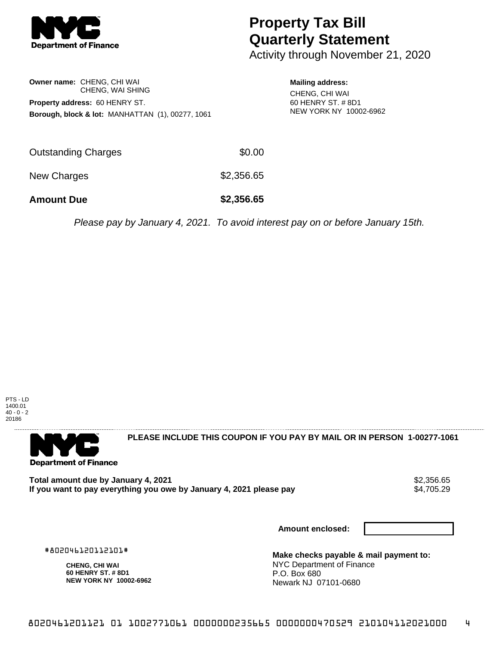

# **Property Tax Bill Quarterly Statement**

Activity through November 21, 2020

### **Owner name:** CHENG, CHI WAI CHENG, WAI SHING **Property address:** 60 HENRY ST. **Borough, block & lot:** MANHATTAN (1), 00277, 1061

#### **Mailing address:**

CHENG, CHI WAI 60 HENRY ST. # 8D1 NEW YORK NY 10002-6962

| <b>Amount Due</b>          | \$2,356.65 |
|----------------------------|------------|
| New Charges                | \$2,356.65 |
| <b>Outstanding Charges</b> | \$0.00     |

Please pay by January 4, 2021. To avoid interest pay on or before January 15th.





**PLEASE INCLUDE THIS COUPON IF YOU PAY BY MAIL OR IN PERSON 1-00277-1061** 

Total amount due by January 4, 2021<br>If you want to pay everything you owe by January 4, 2021 please pay **strategy of the Superior August** \$4,705.29 If you want to pay everything you owe by January 4, 2021 please pay

**Amount enclosed:**

#802046120112101#

**CHENG, CHI WAI 60 HENRY ST. # 8D1 NEW YORK NY 10002-6962**

**Make checks payable & mail payment to:** NYC Department of Finance P.O. Box 680 Newark NJ 07101-0680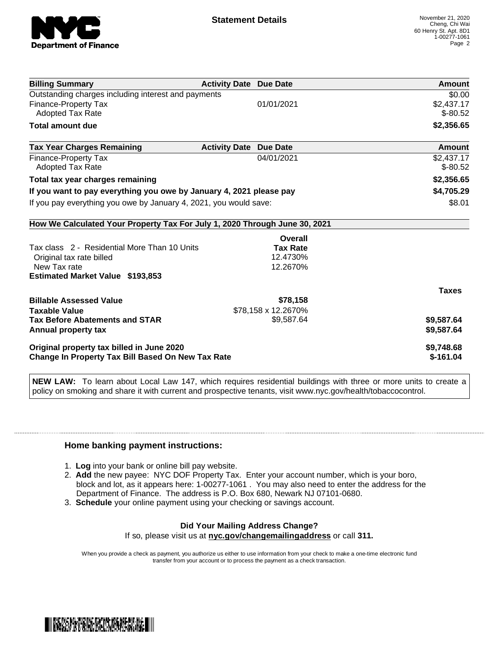

| <b>Billing Summary</b>                                                     | <b>Activity Date Due Date</b>           | Amount       |
|----------------------------------------------------------------------------|-----------------------------------------|--------------|
| Outstanding charges including interest and payments                        |                                         | \$0.00       |
| <b>Finance-Property Tax</b>                                                | 01/01/2021                              | \$2,437.17   |
| Adopted Tax Rate                                                           |                                         | $$ -80.52$   |
| <b>Total amount due</b>                                                    |                                         | \$2,356.65   |
| <b>Tax Year Charges Remaining</b>                                          | <b>Activity Date</b><br><b>Due Date</b> | Amount       |
| Finance-Property Tax                                                       | 04/01/2021                              | \$2,437.17   |
| <b>Adopted Tax Rate</b>                                                    |                                         | $$ -80.52$   |
| Total tax year charges remaining                                           |                                         | \$2,356.65   |
| If you want to pay everything you owe by January 4, 2021 please pay        |                                         | \$4,705.29   |
| If you pay everything you owe by January 4, 2021, you would save:          |                                         | \$8.01       |
| How We Calculated Your Property Tax For July 1, 2020 Through June 30, 2021 |                                         |              |
|                                                                            | Overall                                 |              |
| Tax class 2 - Residential More Than 10 Units                               | <b>Tax Rate</b>                         |              |
| Original tax rate billed                                                   | 12.4730%                                |              |
| New Tax rate                                                               | 12.2670%                                |              |
| <b>Estimated Market Value \$193,853</b>                                    |                                         |              |
|                                                                            |                                         | <b>Taxes</b> |
| <b>Billable Assessed Value</b>                                             | \$78,158                                |              |
| <b>Taxable Value</b>                                                       | \$78,158 x 12.2670%                     |              |
| <b>Tax Before Abatements and STAR</b>                                      | \$9,587.64                              | \$9,587.64   |
| Annual property tax                                                        |                                         | \$9,587.64   |
| Original property tax billed in June 2020                                  |                                         | \$9,748.68   |
| <b>Change In Property Tax Bill Based On New Tax Rate</b>                   |                                         | $$-161.04$   |

**NEW LAW:** To learn about Local Law 147, which requires residential buildings with three or more units to create a policy on smoking and share it with current and prospective tenants, visit www.nyc.gov/health/tobaccocontrol.

#### **Home banking payment instructions:**

- 1. **Log** into your bank or online bill pay website.
- 2. **Add** the new payee: NYC DOF Property Tax. Enter your account number, which is your boro, block and lot, as it appears here: 1-00277-1061 . You may also need to enter the address for the Department of Finance. The address is P.O. Box 680, Newark NJ 07101-0680.
- 3. **Schedule** your online payment using your checking or savings account.

## **Did Your Mailing Address Change?**

If so, please visit us at **nyc.gov/changemailingaddress** or call **311.**

When you provide a check as payment, you authorize us either to use information from your check to make a one-time electronic fund transfer from your account or to process the payment as a check transaction.